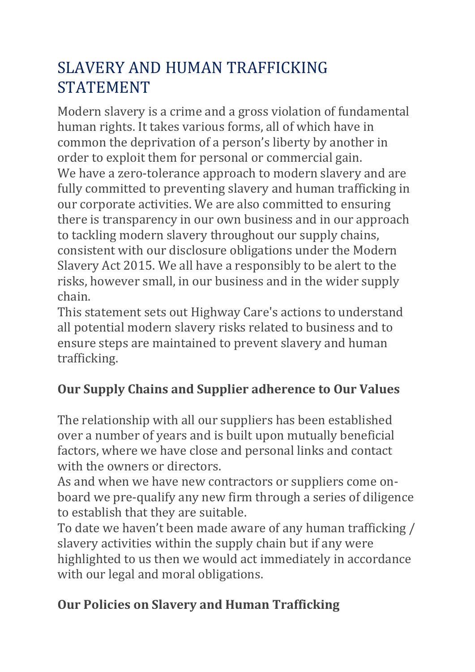## SLAVERY AND HUMAN TRAFFICKING STATEMENT

Modern slavery is a crime and a gross violation of fundamental human rights. It takes various forms, all of which have in common the deprivation of a person's liberty by another in order to exploit them for personal or commercial gain. We have a zero-tolerance approach to modern slavery and are fully committed to preventing slavery and human trafficking in our corporate activities. We are also committed to ensuring there is transparency in our own business and in our approach to tackling modern slavery throughout our supply chains, consistent with our disclosure obligations under the Modern Slavery Act 2015. We all have a responsibly to be alert to the risks, however small, in our business and in the wider supply chain.

This statement sets out Highway Care's actions to understand all potential modern slavery risks related to business and to ensure steps are maintained to prevent slavery and human trafficking.

## **Our Supply Chains and Supplier adherence to Our Values**

The relationship with all our suppliers has been established over a number of years and is built upon mutually beneficial factors, where we have close and personal links and contact with the owners or directors.

As and when we have new contractors or suppliers come onboard we pre-qualify any new firm through a series of diligence to establish that they are suitable.

To date we haven't been made aware of any human trafficking / slavery activities within the supply chain but if any were highlighted to us then we would act immediately in accordance with our legal and moral obligations.

## **Our Policies on Slavery and Human Trafficking**